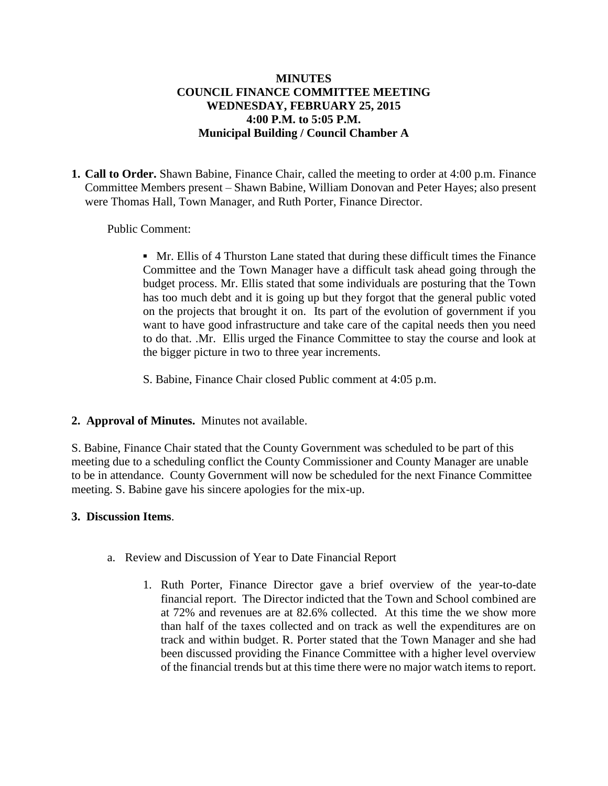## **MINUTES COUNCIL FINANCE COMMITTEE MEETING WEDNESDAY, FEBRUARY 25, 2015 4:00 P.M. to 5:05 P.M. Municipal Building / Council Chamber A**

**1. Call to Order.** Shawn Babine, Finance Chair, called the meeting to order at 4:00 p.m. Finance Committee Members present – Shawn Babine, William Donovan and Peter Hayes; also present were Thomas Hall, Town Manager, and Ruth Porter, Finance Director.

## Public Comment:

**▪** Mr. Ellis of 4 Thurston Lane stated that during these difficult times the Finance Committee and the Town Manager have a difficult task ahead going through the budget process. Mr. Ellis stated that some individuals are posturing that the Town has too much debt and it is going up but they forgot that the general public voted on the projects that brought it on. Its part of the evolution of government if you want to have good infrastructure and take care of the capital needs then you need to do that. .Mr. Ellis urged the Finance Committee to stay the course and look at the bigger picture in two to three year increments.

S. Babine, Finance Chair closed Public comment at 4:05 p.m.

#### **2. Approval of Minutes.** Minutes not available.

S. Babine, Finance Chair stated that the County Government was scheduled to be part of this meeting due to a scheduling conflict the County Commissioner and County Manager are unable to be in attendance. County Government will now be scheduled for the next Finance Committee meeting. S. Babine gave his sincere apologies for the mix-up.

#### **3. Discussion Items**.

- a. Review and Discussion of Year to Date Financial Report
	- 1. Ruth Porter, Finance Director gave a brief overview of the year-to-date financial report. The Director indicted that the Town and School combined are at 72% and revenues are at 82.6% collected. At this time the we show more than half of the taxes collected and on track as well the expenditures are on track and within budget. R. Porter stated that the Town Manager and she had been discussed providing the Finance Committee with a higher level overview of the financial trends but at this time there were no major watch items to report.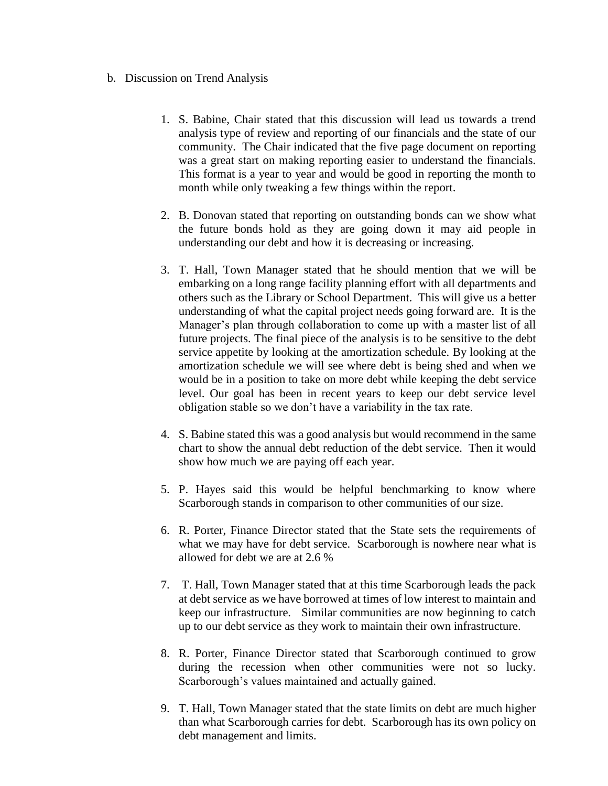- b. Discussion on Trend Analysis
	- 1. S. Babine, Chair stated that this discussion will lead us towards a trend analysis type of review and reporting of our financials and the state of our community. The Chair indicated that the five page document on reporting was a great start on making reporting easier to understand the financials. This format is a year to year and would be good in reporting the month to month while only tweaking a few things within the report.
	- 2. B. Donovan stated that reporting on outstanding bonds can we show what the future bonds hold as they are going down it may aid people in understanding our debt and how it is decreasing or increasing.
	- 3. T. Hall, Town Manager stated that he should mention that we will be embarking on a long range facility planning effort with all departments and others such as the Library or School Department. This will give us a better understanding of what the capital project needs going forward are. It is the Manager's plan through collaboration to come up with a master list of all future projects. The final piece of the analysis is to be sensitive to the debt service appetite by looking at the amortization schedule. By looking at the amortization schedule we will see where debt is being shed and when we would be in a position to take on more debt while keeping the debt service level. Our goal has been in recent years to keep our debt service level obligation stable so we don't have a variability in the tax rate.
	- 4. S. Babine stated this was a good analysis but would recommend in the same chart to show the annual debt reduction of the debt service. Then it would show how much we are paying off each year.
	- 5. P. Hayes said this would be helpful benchmarking to know where Scarborough stands in comparison to other communities of our size.
	- 6. R. Porter, Finance Director stated that the State sets the requirements of what we may have for debt service. Scarborough is nowhere near what is allowed for debt we are at 2.6 %
	- 7. T. Hall, Town Manager stated that at this time Scarborough leads the pack at debt service as we have borrowed at times of low interest to maintain and keep our infrastructure. Similar communities are now beginning to catch up to our debt service as they work to maintain their own infrastructure.
	- 8. R. Porter, Finance Director stated that Scarborough continued to grow during the recession when other communities were not so lucky. Scarborough's values maintained and actually gained.
	- 9. T. Hall, Town Manager stated that the state limits on debt are much higher than what Scarborough carries for debt. Scarborough has its own policy on debt management and limits.